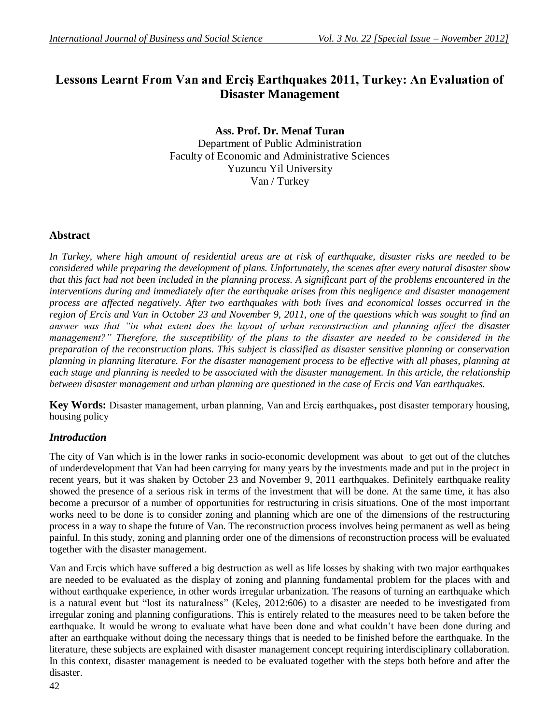# **Lessons Learnt From Van and Erciş Earthquakes 2011, Turkey: An Evaluation of Disaster Management**

**Ass. Prof. Dr. Menaf Turan** Department of Public Administration Faculty of Economic and Administrative Sciences Yuzuncu Yil University Van / Turkey

## **Abstract**

*In Turkey, where high amount of residential areas are at risk of earthquake, disaster risks are needed to be considered while preparing the development of plans. Unfortunately, the scenes after every natural disaster show that this fact had not been included in the planning process. A significant part of the problems encountered in the interventions during and immediately after the earthquake arises from this negligence and disaster management process are affected negatively. After two earthquakes with both lives and economical losses occurred in the region of Ercis and Van in October 23 and November 9, 2011, one of the questions which was sought to find an answer was that "in what extent does the layout of urban reconstruction and planning affect the disaster management?" Therefore, the susceptibility of the plans to the disaster are needed to be considered in the preparation of the reconstruction plans. This subject is classified as disaster sensitive planning or conservation planning in planning literature. For the disaster management process to be effective with all phases, planning at each stage and planning is needed to be associated with the disaster management. In this article, the relationship between disaster management and urban planning are questioned in the case of Ercis and Van earthquakes.* 

**Key Words:** Disaster management, urban planning, Van and Erciş earthquakes**,** post disaster temporary housing, housing policy

# *Introduction*

The city of Van which is in the lower ranks in socio-economic development was about to get out of the clutches of underdevelopment that Van had been carrying for many years by the investments made and put in the project in recent years, but it was shaken by October 23 and November 9, 2011 earthquakes. Definitely earthquake reality showed the presence of a serious risk in terms of the investment that will be done. At the same time, it has also become a precursor of a number of opportunities for restructuring in crisis situations. One of the most important works need to be done is to consider zoning and planning which are one of the dimensions of the restructuring process in a way to shape the future of Van. The reconstruction process involves being permanent as well as being painful. In this study, zoning and planning order one of the dimensions of reconstruction process will be evaluated together with the disaster management.

Van and Ercis which have suffered a big destruction as well as life losses by shaking with two major earthquakes are needed to be evaluated as the display of zoning and planning fundamental problem for the places with and without earthquake experience, in other words irregular urbanization. The reasons of turning an earthquake which is a natural event but "lost its naturalness" (Keleş, 2012:606) to a disaster are needed to be investigated from irregular zoning and planning configurations. This is entirely related to the measures need to be taken before the earthquake. It would be wrong to evaluate what have been done and what couldn't have been done during and after an earthquake without doing the necessary things that is needed to be finished before the earthquake. In the literature, these subjects are explained with disaster management concept requiring interdisciplinary collaboration. In this context, disaster management is needed to be evaluated together with the steps both before and after the disaster.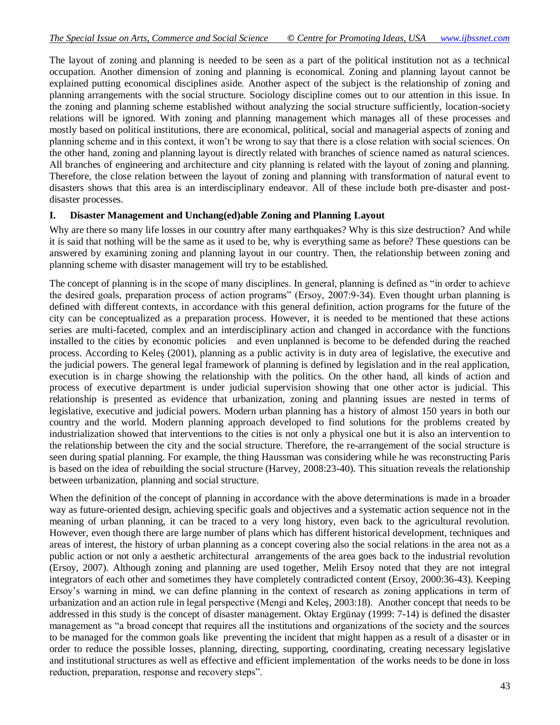The layout of zoning and planning is needed to be seen as a part of the political institution not as a technical occupation. Another dimension of zoning and planning is economical. Zoning and planning layout cannot be explained putting economical disciplines aside. Another aspect of the subject is the relationship of zoning and planning arrangements with the social structure. Sociology discipline comes out to our attention in this issue. In the zoning and planning scheme established without analyzing the social structure sufficiently, location-society relations will be ignored. With zoning and planning management which manages all of these processes and mostly based on political institutions, there are economical, political, social and managerial aspects of zoning and planning scheme and in this context, it won't be wrong to say that there is a close relation with social sciences. On the other hand, zoning and planning layout is directly related with branches of science named as natural sciences. All branches of engineering and architecture and city planning is related with the layout of zoning and planning. Therefore, the close relation between the layout of zoning and planning with transformation of natural event to disasters shows that this area is an interdisciplinary endeavor. All of these include both pre-disaster and postdisaster processes.

#### **I. Disaster Management and Unchang(ed)able Zoning and Planning Layout**

Why are there so many life losses in our country after many earthquakes? Why is this size destruction? And while it is said that nothing will be the same as it used to be, why is everything same as before? These questions can be answered by examining zoning and planning layout in our country. Then, the relationship between zoning and planning scheme with disaster management will try to be established.

The concept of planning is in the scope of many disciplines. In general, planning is defined as "in order to achieve the desired goals, preparation process of action programs" (Ersoy, 2007:9-34). Even thought urban planning is defined with different contexts, in accordance with this general definition, action programs for the future of the city can be conceptualized as a preparation process. However, it is needed to be mentioned that these actions series are multi-faceted, complex and an interdisciplinary action and changed in accordance with the functions installed to the cities by economic policies and even unplanned is become to be defended during the reached process. According to Keleş (2001), planning as a public activity is in duty area of legislative, the executive and the judicial powers. The general legal framework of planning is defined by legislation and in the real application, execution is in charge showing the relationship with the politics. On the other hand, all kinds of action and process of executive department is under judicial supervision showing that one other actor is judicial. This relationship is presented as evidence that urbanization, zoning and planning issues are nested in terms of legislative, executive and judicial powers. Modern urban planning has a history of almost 150 years in both our country and the world. Modern planning approach developed to find solutions for the problems created by industrialization showed that interventions to the cities is not only a physical one but it is also an intervention to the relationship between the city and the social structure. Therefore, the re-arrangement of the social structure is seen during spatial planning. For example, the thing Haussman was considering while he was reconstructing Paris is based on the idea of rebuilding the social structure (Harvey, 2008:23-40). This situation reveals the relationship between urbanization, planning and social structure.

When the definition of the concept of planning in accordance with the above determinations is made in a broader way as future-oriented design, achieving specific goals and objectives and a systematic action sequence not in the meaning of urban planning, it can be traced to a very long history, even back to the agricultural revolution. However, even though there are large number of plans which has different historical development, techniques and areas of interest, the history of urban planning as a concept covering also the social relations in the area not as a public action or not only a aesthetic architectural arrangements of the area goes back to the industrial revolution (Ersoy, 2007). Although zoning and planning are used together, Melih Ersoy noted that they are not integral integrators of each other and sometimes they have completely contradicted content (Ersoy, 2000:36-43). Keeping Ersoy's warning in mind, we can define planning in the context of research as zoning applications in term of urbanization and an action rule in legal perspective (Mengi and Keleş, 2003:18). Another concept that needs to be addressed in this study is the concept of disaster management. Oktay Ergünay (1999: 7-14) is defined the disaster management as "a broad concept that requires all the institutions and organizations of the society and the sources to be managed for the common goals like preventing the incident that might happen as a result of a disaster or in order to reduce the possible losses, planning, directing, supporting, coordinating, creating necessary legislative and institutional structures as well as effective and efficient implementation of the works needs to be done in loss reduction, preparation, response and recovery steps".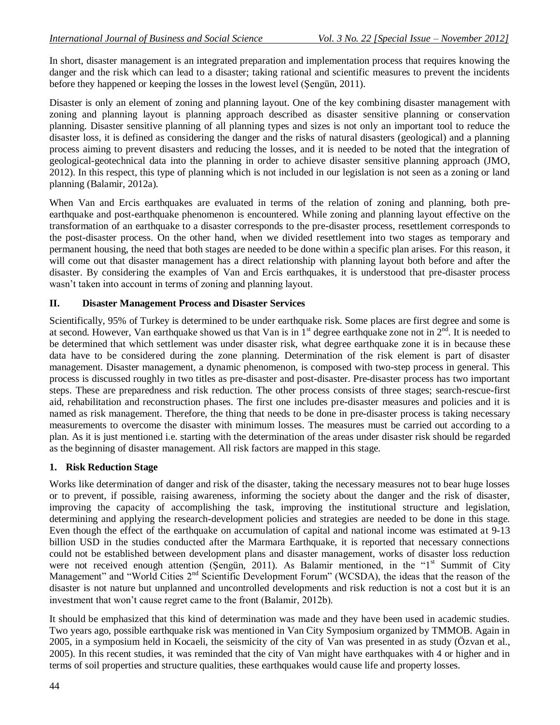In short, disaster management is an integrated preparation and implementation process that requires knowing the danger and the risk which can lead to a disaster; taking rational and scientific measures to prevent the incidents before they happened or keeping the losses in the lowest level (Şengün, 2011).

Disaster is only an element of zoning and planning layout. One of the key combining disaster management with zoning and planning layout is planning approach described as disaster sensitive planning or conservation planning. Disaster sensitive planning of all planning types and sizes is not only an important tool to reduce the disaster loss, it is defined as considering the danger and the risks of natural disasters (geological) and a planning process aiming to prevent disasters and reducing the losses, and it is needed to be noted that the integration of geological-geotechnical data into the planning in order to achieve disaster sensitive planning approach (JMO, 2012). In this respect, this type of planning which is not included in our legislation is not seen as a zoning or land planning (Balamir, 2012a).

When Van and Ercis earthquakes are evaluated in terms of the relation of zoning and planning, both preearthquake and post-earthquake phenomenon is encountered. While zoning and planning layout effective on the transformation of an earthquake to a disaster corresponds to the pre-disaster process, resettlement corresponds to the post-disaster process. On the other hand, when we divided resettlement into two stages as temporary and permanent housing, the need that both stages are needed to be done within a specific plan arises. For this reason, it will come out that disaster management has a direct relationship with planning layout both before and after the disaster. By considering the examples of Van and Ercis earthquakes, it is understood that pre-disaster process wasn't taken into account in terms of zoning and planning layout.

## **II. Disaster Management Process and Disaster Services**

Scientifically, 95% of Turkey is determined to be under earthquake risk. Some places are first degree and some is at second. However, Van earthquake showed us that Van is in  $1<sup>st</sup>$  degree earthquake zone not in  $2<sup>nd</sup>$ . It is needed to be determined that which settlement was under disaster risk, what degree earthquake zone it is in because these data have to be considered during the zone planning. Determination of the risk element is part of disaster management. Disaster management, a dynamic phenomenon, is composed with two-step process in general. This process is discussed roughly in two titles as pre-disaster and post-disaster. Pre-disaster process has two important steps. These are preparedness and risk reduction. The other process consists of three stages; search-rescue-first aid, rehabilitation and reconstruction phases. The first one includes pre-disaster measures and policies and it is named as risk management. Therefore, the thing that needs to be done in pre-disaster process is taking necessary measurements to overcome the disaster with minimum losses. The measures must be carried out according to a plan. As it is just mentioned i.e. starting with the determination of the areas under disaster risk should be regarded as the beginning of disaster management. All risk factors are mapped in this stage.

# **1. Risk Reduction Stage**

Works like determination of danger and risk of the disaster, taking the necessary measures not to bear huge losses or to prevent, if possible, raising awareness, informing the society about the danger and the risk of disaster, improving the capacity of accomplishing the task, improving the institutional structure and legislation, determining and applying the research-development policies and strategies are needed to be done in this stage. Even though the effect of the earthquake on accumulation of capital and national income was estimated at 9-13 billion USD in the studies conducted after the Marmara Earthquake, it is reported that necessary connections could not be established between development plans and disaster management, works of disaster loss reduction were not received enough attention (Sengün, 2011). As Balamir mentioned, in the "1<sup>st</sup> Summit of City Management" and "World Cities 2<sup>nd</sup> Scientific Development Forum" (WCSDA), the ideas that the reason of the disaster is not nature but unplanned and uncontrolled developments and risk reduction is not a cost but it is an investment that won't cause regret came to the front (Balamir, 2012b).

It should be emphasized that this kind of determination was made and they have been used in academic studies. Two years ago, possible earthquake risk was mentioned in Van City Symposium organized by TMMOB. Again in 2005, in a symposium held in Kocaeli, the seismicity of the city of Van was presented in as study (Özvan et al., 2005). In this recent studies, it was reminded that the city of Van might have earthquakes with 4 or higher and in terms of soil properties and structure qualities, these earthquakes would cause life and property losses.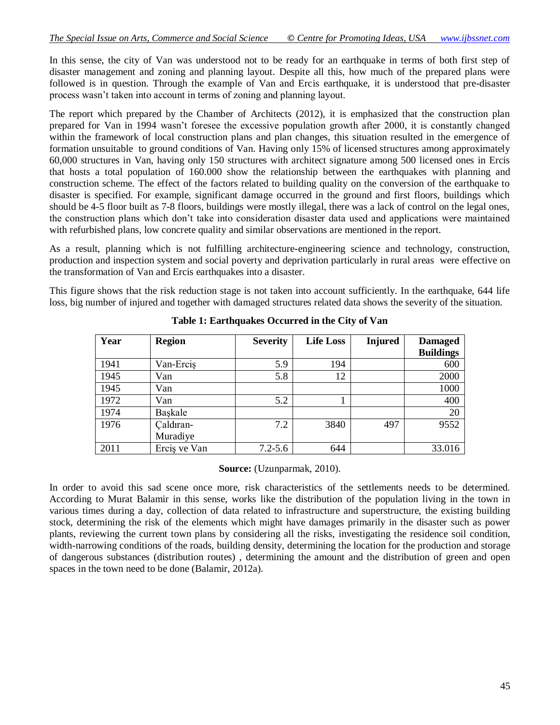In this sense, the city of Van was understood not to be ready for an earthquake in terms of both first step of disaster management and zoning and planning layout. Despite all this, how much of the prepared plans were followed is in question. Through the example of Van and Ercis earthquake, it is understood that pre-disaster process wasn't taken into account in terms of zoning and planning layout.

The report which prepared by the Chamber of Architects (2012), it is emphasized that the construction plan prepared for Van in 1994 wasn't foresee the excessive population growth after 2000, it is constantly changed within the framework of local construction plans and plan changes, this situation resulted in the emergence of formation unsuitable to ground conditions of Van. Having only 15% of licensed structures among approximately 60,000 structures in Van, having only 150 structures with architect signature among 500 licensed ones in Ercis that hosts a total population of 160.000 show the relationship between the earthquakes with planning and construction scheme. The effect of the factors related to building quality on the conversion of the earthquake to disaster is specified. For example, significant damage occurred in the ground and first floors, buildings which should be 4-5 floor built as 7-8 floors, buildings were mostly illegal, there was a lack of control on the legal ones, the construction plans which don't take into consideration disaster data used and applications were maintained with refurbished plans, low concrete quality and similar observations are mentioned in the report.

As a result, planning which is not fulfilling architecture-engineering science and technology, construction, production and inspection system and social poverty and deprivation particularly in rural areas were effective on the transformation of Van and Ercis earthquakes into a disaster.

This figure shows that the risk reduction stage is not taken into account sufficiently. In the earthquake, 644 life loss, big number of injured and together with damaged structures related data shows the severity of the situation.

| Year | <b>Region</b> | <b>Severity</b> | <b>Life Loss</b> | <b>Injured</b> | <b>Damaged</b><br><b>Buildings</b> |
|------|---------------|-----------------|------------------|----------------|------------------------------------|
| 1941 | Van-Ercis     | 5.9             | 194              |                | 600                                |
| 1945 | Van           | 5.8             | 12               |                | 2000                               |
| 1945 | Van           |                 |                  |                | 1000                               |
| 1972 | Van           | 5.2             |                  |                | 400                                |
| 1974 | Baskale       |                 |                  |                | 20                                 |
| 1976 | Caldıran-     | 7.2             | 3840             | 497            | 9552                               |
|      | Muradiye      |                 |                  |                |                                    |
| 2011 | Ercis ve Van  | $7.2 - 5.6$     | 644              |                | 33.016                             |

**Table 1: Earthquakes Occurred in the City of Van**

**Source:** (Uzunparmak, 2010).

In order to avoid this sad scene once more, risk characteristics of the settlements needs to be determined. According to Murat Balamir in this sense, works like the distribution of the population living in the town in various times during a day, collection of data related to infrastructure and superstructure, the existing building stock, determining the risk of the elements which might have damages primarily in the disaster such as power plants, reviewing the current town plans by considering all the risks, investigating the residence soil condition, width-narrowing conditions of the roads, building density, determining the location for the production and storage of dangerous substances (distribution routes) , determining the amount and the distribution of green and open spaces in the town need to be done (Balamir, 2012a).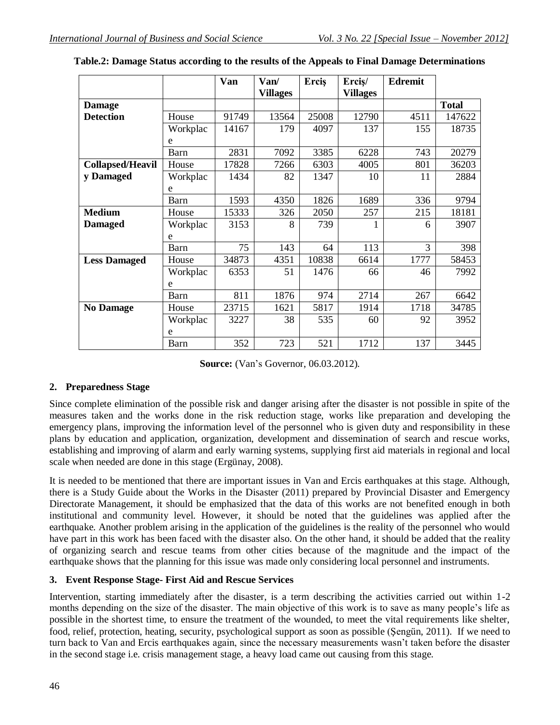|                         |          | Van   | Van/<br><b>Villages</b> | Ercis | Ercis/<br><b>Villages</b> | <b>Edremit</b> |              |
|-------------------------|----------|-------|-------------------------|-------|---------------------------|----------------|--------------|
| <b>Damage</b>           |          |       |                         |       |                           |                | <b>Total</b> |
| <b>Detection</b>        | House    | 91749 | 13564                   | 25008 | 12790                     | 4511           | 147622       |
|                         | Workplac | 14167 | 179                     | 4097  | 137                       | 155            | 18735        |
|                         | e        |       |                         |       |                           |                |              |
|                         | Barn     | 2831  | 7092                    | 3385  | 6228                      | 743            | 20279        |
| <b>Collapsed/Heavil</b> | House    | 17828 | 7266                    | 6303  | 4005                      | 801            | 36203        |
| y Damaged               | Workplac | 1434  | 82                      | 1347  | 10                        | 11             | 2884         |
|                         | e        |       |                         |       |                           |                |              |
|                         | Barn     | 1593  | 4350                    | 1826  | 1689                      | 336            | 9794         |
| <b>Medium</b>           | House    | 15333 | 326                     | 2050  | 257                       | 215            | 18181        |
| <b>Damaged</b>          | Workplac | 3153  | 8                       | 739   | 1                         | 6              | 3907         |
|                         | e        |       |                         |       |                           |                |              |
|                         | Barn     | 75    | 143                     | 64    | 113                       | 3              | 398          |
| <b>Less Damaged</b>     | House    | 34873 | 4351                    | 10838 | 6614                      | 1777           | 58453        |
|                         | Workplac | 6353  | 51                      | 1476  | 66                        | 46             | 7992         |
|                         | e        |       |                         |       |                           |                |              |
|                         | Barn     | 811   | 1876                    | 974   | 2714                      | 267            | 6642         |
| <b>No Damage</b>        | House    | 23715 | 1621                    | 5817  | 1914                      | 1718           | 34785        |
|                         | Workplac | 3227  | 38                      | 535   | 60                        | 92             | 3952         |
|                         | e        |       |                         |       |                           |                |              |
|                         | Barn     | 352   | 723                     | 521   | 1712                      | 137            | 3445         |

|  |  | Table.2: Damage Status according to the results of the Appeals to Final Damage Determinations |  |
|--|--|-----------------------------------------------------------------------------------------------|--|
|  |  |                                                                                               |  |
|  |  |                                                                                               |  |
|  |  |                                                                                               |  |

**Source:** (Van's Governor, 06.03.2012).

# **2. Preparedness Stage**

Since complete elimination of the possible risk and danger arising after the disaster is not possible in spite of the measures taken and the works done in the risk reduction stage, works like preparation and developing the emergency plans, improving the information level of the personnel who is given duty and responsibility in these plans by education and application, organization, development and dissemination of search and rescue works, establishing and improving of alarm and early warning systems, supplying first aid materials in regional and local scale when needed are done in this stage (Ergünay, 2008).

It is needed to be mentioned that there are important issues in Van and Ercis earthquakes at this stage. Although, there is a Study Guide about the Works in the Disaster (2011) prepared by Provincial Disaster and Emergency Directorate Management, it should be emphasized that the data of this works are not benefited enough in both institutional and community level. However, it should be noted that the guidelines was applied after the earthquake. Another problem arising in the application of the guidelines is the reality of the personnel who would have part in this work has been faced with the disaster also. On the other hand, it should be added that the reality of organizing search and rescue teams from other cities because of the magnitude and the impact of the earthquake shows that the planning for this issue was made only considering local personnel and instruments.

# **3. Event Response Stage- First Aid and Rescue Services**

Intervention, starting immediately after the disaster, is a term describing the activities carried out within 1-2 months depending on the size of the disaster. The main objective of this work is to save as many people's life as possible in the shortest time, to ensure the treatment of the wounded, to meet the vital requirements like shelter, food, relief, protection, heating, security, psychological support as soon as possible (Şengün, 2011). If we need to turn back to Van and Ercis earthquakes again, since the necessary measurements wasn't taken before the disaster in the second stage i.e. crisis management stage, a heavy load came out causing from this stage.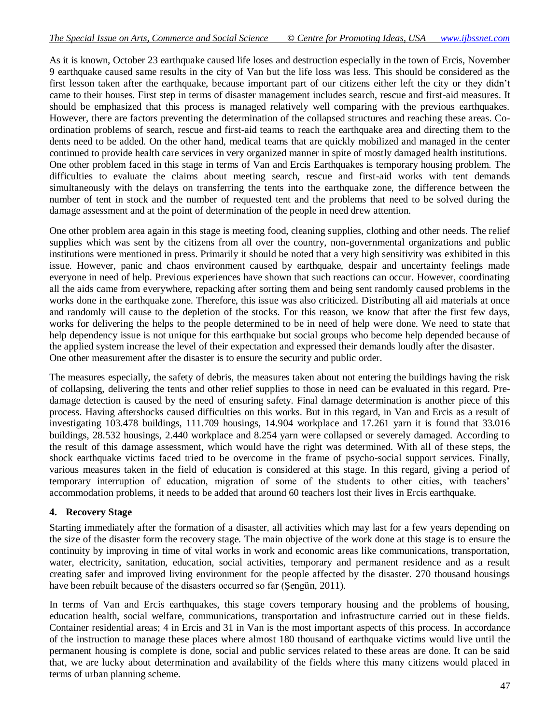As it is known, October 23 earthquake caused life loses and destruction especially in the town of Ercis, November 9 earthquake caused same results in the city of Van but the life loss was less. This should be considered as the first lesson taken after the earthquake, because important part of our citizens either left the city or they didn't came to their houses. First step in terms of disaster management includes search, rescue and first-aid measures. It should be emphasized that this process is managed relatively well comparing with the previous earthquakes. However, there are factors preventing the determination of the collapsed structures and reaching these areas. Coordination problems of search, rescue and first-aid teams to reach the earthquake area and directing them to the dents need to be added. On the other hand, medical teams that are quickly mobilized and managed in the center continued to provide health care services in very organized manner in spite of mostly damaged health institutions. One other problem faced in this stage in terms of Van and Ercis Earthquakes is temporary housing problem. The difficulties to evaluate the claims about meeting search, rescue and first-aid works with tent demands simultaneously with the delays on transferring the tents into the earthquake zone, the difference between the number of tent in stock and the number of requested tent and the problems that need to be solved during the damage assessment and at the point of determination of the people in need drew attention.

One other problem area again in this stage is meeting food, cleaning supplies, clothing and other needs. The relief supplies which was sent by the citizens from all over the country, non-governmental organizations and public institutions were mentioned in press. Primarily it should be noted that a very high sensitivity was exhibited in this issue. However, panic and chaos environment caused by earthquake, despair and uncertainty feelings made everyone in need of help. Previous experiences have shown that such reactions can occur. However, coordinating all the aids came from everywhere, repacking after sorting them and being sent randomly caused problems in the works done in the earthquake zone. Therefore, this issue was also criticized. Distributing all aid materials at once and randomly will cause to the depletion of the stocks. For this reason, we know that after the first few days, works for delivering the helps to the people determined to be in need of help were done. We need to state that help dependency issue is not unique for this earthquake but social groups who become help depended because of the applied system increase the level of their expectation and expressed their demands loudly after the disaster. One other measurement after the disaster is to ensure the security and public order.

The measures especially, the safety of debris, the measures taken about not entering the buildings having the risk of collapsing, delivering the tents and other relief supplies to those in need can be evaluated in this regard. Predamage detection is caused by the need of ensuring safety. Final damage determination is another piece of this process. Having aftershocks caused difficulties on this works. But in this regard, in Van and Ercis as a result of investigating 103.478 buildings, 111.709 housings, 14.904 workplace and 17.261 yarn it is found that 33.016 buildings, 28.532 housings, 2.440 workplace and 8.254 yarn were collapsed or severely damaged. According to the result of this damage assessment, which would have the right was determined. With all of these steps, the shock earthquake victims faced tried to be overcome in the frame of psycho-social support services. Finally, various measures taken in the field of education is considered at this stage. In this regard, giving a period of temporary interruption of education, migration of some of the students to other cities, with teachers' accommodation problems, it needs to be added that around 60 teachers lost their lives in Ercis earthquake.

#### **4. Recovery Stage**

Starting immediately after the formation of a disaster, all activities which may last for a few years depending on the size of the disaster form the recovery stage. The main objective of the work done at this stage is to ensure the continuity by improving in time of vital works in work and economic areas like communications, transportation, water, electricity, sanitation, education, social activities, temporary and permanent residence and as a result creating safer and improved living environment for the people affected by the disaster. 270 thousand housings have been rebuilt because of the disasters occurred so far (Şengün, 2011).

In terms of Van and Ercis earthquakes, this stage covers temporary housing and the problems of housing, education health, social welfare, communications, transportation and infrastructure carried out in these fields. Container residential areas; 4 in Ercis and 31 in Van is the most important aspects of this process. In accordance of the instruction to manage these places where almost 180 thousand of earthquake victims would live until the permanent housing is complete is done, social and public services related to these areas are done. It can be said that, we are lucky about determination and availability of the fields where this many citizens would placed in terms of urban planning scheme.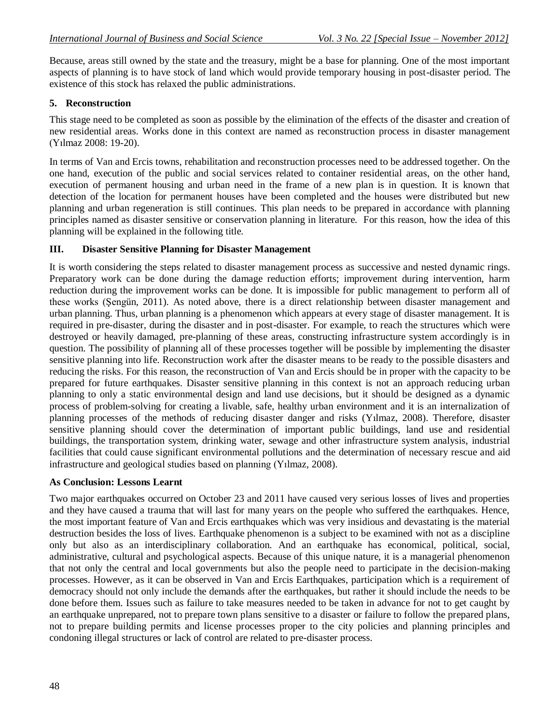Because, areas still owned by the state and the treasury, might be a base for planning. One of the most important aspects of planning is to have stock of land which would provide temporary housing in post-disaster period. The existence of this stock has relaxed the public administrations.

## **5. Reconstruction**

This stage need to be completed as soon as possible by the elimination of the effects of the disaster and creation of new residential areas. Works done in this context are named as reconstruction process in disaster management (Yılmaz 2008: 19-20).

In terms of Van and Ercis towns, rehabilitation and reconstruction processes need to be addressed together. On the one hand, execution of the public and social services related to container residential areas, on the other hand, execution of permanent housing and urban need in the frame of a new plan is in question. It is known that detection of the location for permanent houses have been completed and the houses were distributed but new planning and urban regeneration is still continues. This plan needs to be prepared in accordance with planning principles named as disaster sensitive or conservation planning in literature. For this reason, how the idea of this planning will be explained in the following title.

## **III. Disaster Sensitive Planning for Disaster Management**

It is worth considering the steps related to disaster management process as successive and nested dynamic rings. Preparatory work can be done during the damage reduction efforts; improvement during intervention, harm reduction during the improvement works can be done. It is impossible for public management to perform all of these works (Şengün, 2011). As noted above, there is a direct relationship between disaster management and urban planning. Thus, urban planning is a phenomenon which appears at every stage of disaster management. It is required in pre-disaster, during the disaster and in post-disaster. For example, to reach the structures which were destroyed or heavily damaged, pre-planning of these areas, constructing infrastructure system accordingly is in question. The possibility of planning all of these processes together will be possible by implementing the disaster sensitive planning into life. Reconstruction work after the disaster means to be ready to the possible disasters and reducing the risks. For this reason, the reconstruction of Van and Ercis should be in proper with the capacity to be prepared for future earthquakes. Disaster sensitive planning in this context is not an approach reducing urban planning to only a static environmental design and land use decisions, but it should be designed as a dynamic process of problem-solving for creating a livable, safe, healthy urban environment and it is an internalization of planning processes of the methods of reducing disaster danger and risks (Yılmaz, 2008). Therefore, disaster sensitive planning should cover the determination of important public buildings, land use and residential buildings, the transportation system, drinking water, sewage and other infrastructure system analysis, industrial facilities that could cause significant environmental pollutions and the determination of necessary rescue and aid infrastructure and geological studies based on planning (Yılmaz, 2008).

#### **As Conclusion: Lessons Learnt**

Two major earthquakes occurred on October 23 and 2011 have caused very serious losses of lives and properties and they have caused a trauma that will last for many years on the people who suffered the earthquakes. Hence, the most important feature of Van and Ercis earthquakes which was very insidious and devastating is the material destruction besides the loss of lives. Earthquake phenomenon is a subject to be examined with not as a discipline only but also as an interdisciplinary collaboration. And an earthquake has economical, political, social, administrative, cultural and psychological aspects. Because of this unique nature, it is a managerial phenomenon that not only the central and local governments but also the people need to participate in the decision-making processes. However, as it can be observed in Van and Ercis Earthquakes, participation which is a requirement of democracy should not only include the demands after the earthquakes, but rather it should include the needs to be done before them. Issues such as failure to take measures needed to be taken in advance for not to get caught by an earthquake unprepared, not to prepare town plans sensitive to a disaster or failure to follow the prepared plans, not to prepare building permits and license processes proper to the city policies and planning principles and condoning illegal structures or lack of control are related to pre-disaster process.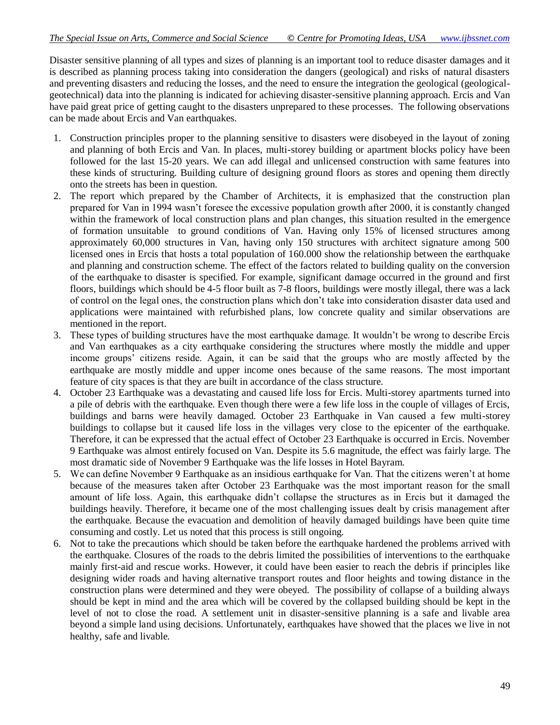Disaster sensitive planning of all types and sizes of planning is an important tool to reduce disaster damages and it is described as planning process taking into consideration the dangers (geological) and risks of natural disasters and preventing disasters and reducing the losses, and the need to ensure the integration the geological (geologicalgeotechnical) data into the planning is indicated for achieving disaster-sensitive planning approach. Ercis and Van have paid great price of getting caught to the disasters unprepared to these processes. The following observations can be made about Ercis and Van earthquakes.

- 1. Construction principles proper to the planning sensitive to disasters were disobeyed in the layout of zoning and planning of both Ercis and Van. In places, multi-storey building or apartment blocks policy have been followed for the last 15-20 years. We can add illegal and unlicensed construction with same features into these kinds of structuring. Building culture of designing ground floors as stores and opening them directly onto the streets has been in question.
- 2. The report which prepared by the Chamber of Architects, it is emphasized that the construction plan prepared for Van in 1994 wasn't foresee the excessive population growth after 2000, it is constantly changed within the framework of local construction plans and plan changes, this situation resulted in the emergence of formation unsuitable to ground conditions of Van. Having only 15% of licensed structures among approximately 60,000 structures in Van, having only 150 structures with architect signature among 500 licensed ones in Ercis that hosts a total population of 160.000 show the relationship between the earthquake and planning and construction scheme. The effect of the factors related to building quality on the conversion of the earthquake to disaster is specified. For example, significant damage occurred in the ground and first floors, buildings which should be 4-5 floor built as 7-8 floors, buildings were mostly illegal, there was a lack of control on the legal ones, the construction plans which don't take into consideration disaster data used and applications were maintained with refurbished plans, low concrete quality and similar observations are mentioned in the report.
- 3. These types of building structures have the most earthquake damage. It wouldn't be wrong to describe Ercis and Van earthquakes as a city earthquake considering the structures where mostly the middle and upper income groups' citizens reside. Again, it can be said that the groups who are mostly affected by the earthquake are mostly middle and upper income ones because of the same reasons. The most important feature of city spaces is that they are built in accordance of the class structure.
- 4. October 23 Earthquake was a devastating and caused life loss for Ercis. Multi-storey apartments turned into a pile of debris with the earthquake. Even though there were a few life loss in the couple of villages of Ercis, buildings and barns were heavily damaged. October 23 Earthquake in Van caused a few multi-storey buildings to collapse but it caused life loss in the villages very close to the epicenter of the earthquake. Therefore, it can be expressed that the actual effect of October 23 Earthquake is occurred in Ercis. November 9 Earthquake was almost entirely focused on Van. Despite its 5.6 magnitude, the effect was fairly large. The most dramatic side of November 9 Earthquake was the life losses in Hotel Bayram.
- 5. We can define November 9 Earthquake as an insidious earthquake for Van. That the citizens weren't at home because of the measures taken after October 23 Earthquake was the most important reason for the small amount of life loss. Again, this earthquake didn't collapse the structures as in Ercis but it damaged the buildings heavily. Therefore, it became one of the most challenging issues dealt by crisis management after the earthquake. Because the evacuation and demolition of heavily damaged buildings have been quite time consuming and costly. Let us noted that this process is still ongoing.
- 6. Not to take the precautions which should be taken before the earthquake hardened the problems arrived with the earthquake. Closures of the roads to the debris limited the possibilities of interventions to the earthquake mainly first-aid and rescue works. However, it could have been easier to reach the debris if principles like designing wider roads and having alternative transport routes and floor heights and towing distance in the construction plans were determined and they were obeyed. The possibility of collapse of a building always should be kept in mind and the area which will be covered by the collapsed building should be kept in the level of not to close the road. A settlement unit in disaster-sensitive planning is a safe and livable area beyond a simple land using decisions. Unfortunately, earthquakes have showed that the places we live in not healthy, safe and livable.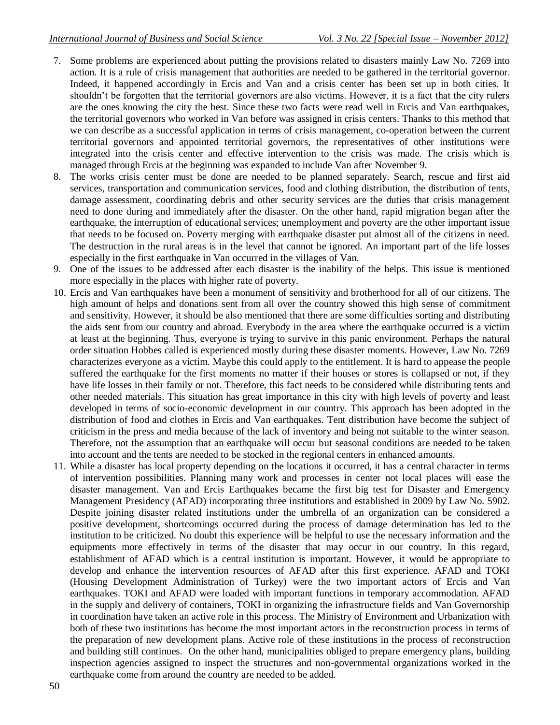- 7. Some problems are experienced about putting the provisions related to disasters mainly Law No. 7269 into action. It is a rule of crisis management that authorities are needed to be gathered in the territorial governor. Indeed, it happened accordingly in Ercis and Van and a crisis center has been set up in both cities. It shouldn't be forgotten that the territorial governors are also victims. However, it is a fact that the city rulers are the ones knowing the city the best. Since these two facts were read well in Ercis and Van earthquakes, the territorial governors who worked in Van before was assigned in crisis centers. Thanks to this method that we can describe as a successful application in terms of crisis management, co-operation between the current territorial governors and appointed territorial governors, the representatives of other institutions were integrated into the crisis center and effective intervention to the crisis was made. The crisis which is managed through Ercis at the beginning was expanded to include Van after November 9.
- 8. The works crisis center must be done are needed to be planned separately. Search, rescue and first aid services, transportation and communication services, food and clothing distribution, the distribution of tents, damage assessment, coordinating debris and other security services are the duties that crisis management need to done during and immediately after the disaster. On the other hand, rapid migration began after the earthquake, the interruption of educational services; unemployment and poverty are the other important issue that needs to be focused on. Poverty merging with earthquake disaster put almost all of the citizens in need. The destruction in the rural areas is in the level that cannot be ignored. An important part of the life losses especially in the first earthquake in Van occurred in the villages of Van.
- 9. One of the issues to be addressed after each disaster is the inability of the helps. This issue is mentioned more especially in the places with higher rate of poverty.
- 10. Ercis and Van earthquakes have been a monument of sensitivity and brotherhood for all of our citizens. The high amount of helps and donations sent from all over the country showed this high sense of commitment and sensitivity. However, it should be also mentioned that there are some difficulties sorting and distributing the aids sent from our country and abroad. Everybody in the area where the earthquake occurred is a victim at least at the beginning. Thus, everyone is trying to survive in this panic environment. Perhaps the natural order situation Hobbes called is experienced mostly during these disaster moments. However, Law No. 7269 characterizes everyone as a victim. Maybe this could apply to the entitlement. It is hard to appease the people suffered the earthquake for the first moments no matter if their houses or stores is collapsed or not, if they have life losses in their family or not. Therefore, this fact needs to be considered while distributing tents and other needed materials. This situation has great importance in this city with high levels of poverty and least developed in terms of socio-economic development in our country. This approach has been adopted in the distribution of food and clothes in Ercis and Van earthquakes. Tent distribution have become the subject of criticism in the press and media because of the lack of inventory and being not suitable to the winter season. Therefore, not the assumption that an earthquake will occur but seasonal conditions are needed to be taken into account and the tents are needed to be stocked in the regional centers in enhanced amounts.
- 11. While a disaster has local property depending on the locations it occurred, it has a central character in terms of intervention possibilities. Planning many work and processes in center not local places will ease the disaster management. Van and Ercis Earthquakes became the first big test for Disaster and Emergency Management Presidency (AFAD) incorporating three institutions and established in 2009 by Law No. 5902. Despite joining disaster related institutions under the umbrella of an organization can be considered a positive development, shortcomings occurred during the process of damage determination has led to the institution to be criticized. No doubt this experience will be helpful to use the necessary information and the equipments more effectively in terms of the disaster that may occur in our country. In this regard, establishment of AFAD which is a central institution is important. However, it would be appropriate to develop and enhance the intervention resources of AFAD after this first experience. AFAD and TOKI (Housing Development Administration of Turkey) were the two important actors of Ercis and Van earthquakes. TOKI and AFAD were loaded with important functions in temporary accommodation. AFAD in the supply and delivery of containers, TOKI in organizing the infrastructure fields and Van Governorship in coordination have taken an active role in this process. The Ministry of Environment and Urbanization with both of these two institutions has become the most important actors in the reconstruction process in terms of the preparation of new development plans. Active role of these institutions in the process of reconstruction and building still continues. On the other hand, municipalities obliged to prepare emergency plans, building inspection agencies assigned to inspect the structures and non-governmental organizations worked in the earthquake come from around the country are needed to be added.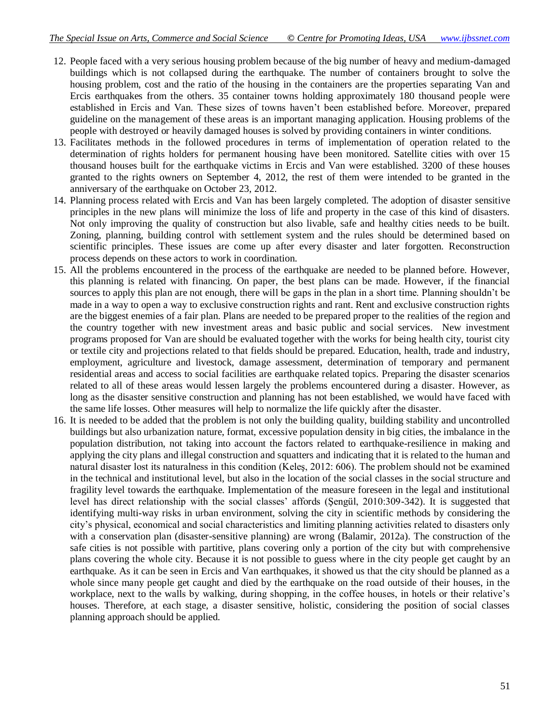- 12. People faced with a very serious housing problem because of the big number of heavy and medium-damaged buildings which is not collapsed during the earthquake. The number of containers brought to solve the housing problem, cost and the ratio of the housing in the containers are the properties separating Van and Ercis earthquakes from the others. 35 container towns holding approximately 180 thousand people were established in Ercis and Van. These sizes of towns haven't been established before. Moreover, prepared guideline on the management of these areas is an important managing application. Housing problems of the people with destroyed or heavily damaged houses is solved by providing containers in winter conditions.
- 13. Facilitates methods in the followed procedures in terms of implementation of operation related to the determination of rights holders for permanent housing have been monitored. Satellite cities with over 15 thousand houses built for the earthquake victims in Ercis and Van were established. 3200 of these houses granted to the rights owners on September 4, 2012, the rest of them were intended to be granted in the anniversary of the earthquake on October 23, 2012.
- 14. Planning process related with Ercis and Van has been largely completed. The adoption of disaster sensitive principles in the new plans will minimize the loss of life and property in the case of this kind of disasters. Not only improving the quality of construction but also livable, safe and healthy cities needs to be built. Zoning, planning, building control with settlement system and the rules should be determined based on scientific principles. These issues are come up after every disaster and later forgotten. Reconstruction process depends on these actors to work in coordination.
- 15. All the problems encountered in the process of the earthquake are needed to be planned before. However, this planning is related with financing. On paper, the best plans can be made. However, if the financial sources to apply this plan are not enough, there will be gaps in the plan in a short time. Planning shouldn't be made in a way to open a way to exclusive construction rights and rant. Rent and exclusive construction rights are the biggest enemies of a fair plan. Plans are needed to be prepared proper to the realities of the region and the country together with new investment areas and basic public and social services. New investment programs proposed for Van are should be evaluated together with the works for being health city, tourist city or textile city and projections related to that fields should be prepared. Education, health, trade and industry, employment, agriculture and livestock, damage assessment, determination of temporary and permanent residential areas and access to social facilities are earthquake related topics. Preparing the disaster scenarios related to all of these areas would lessen largely the problems encountered during a disaster. However, as long as the disaster sensitive construction and planning has not been established, we would have faced with the same life losses. Other measures will help to normalize the life quickly after the disaster.
- 16. It is needed to be added that the problem is not only the building quality, building stability and uncontrolled buildings but also urbanization nature, format, excessive population density in big cities, the imbalance in the population distribution, not taking into account the factors related to earthquake-resilience in making and applying the city plans and illegal construction and squatters and indicating that it is related to the human and natural disaster lost its naturalness in this condition (Keleş, 2012: 606). The problem should not be examined in the technical and institutional level, but also in the location of the social classes in the social structure and fragility level towards the earthquake. Implementation of the measure foreseen in the legal and institutional level has direct relationship with the social classes' affords (Şengül, 2010:309-342). It is suggested that identifying multi-way risks in urban environment, solving the city in scientific methods by considering the city's physical, economical and social characteristics and limiting planning activities related to disasters only with a conservation plan (disaster-sensitive planning) are wrong (Balamir, 2012a). The construction of the safe cities is not possible with partitive, plans covering only a portion of the city but with comprehensive plans covering the whole city. Because it is not possible to guess where in the city people get caught by an earthquake. As it can be seen in Ercis and Van earthquakes, it showed us that the city should be planned as a whole since many people get caught and died by the earthquake on the road outside of their houses, in the workplace, next to the walls by walking, during shopping, in the coffee houses, in hotels or their relative's houses. Therefore, at each stage, a disaster sensitive, holistic, considering the position of social classes planning approach should be applied.